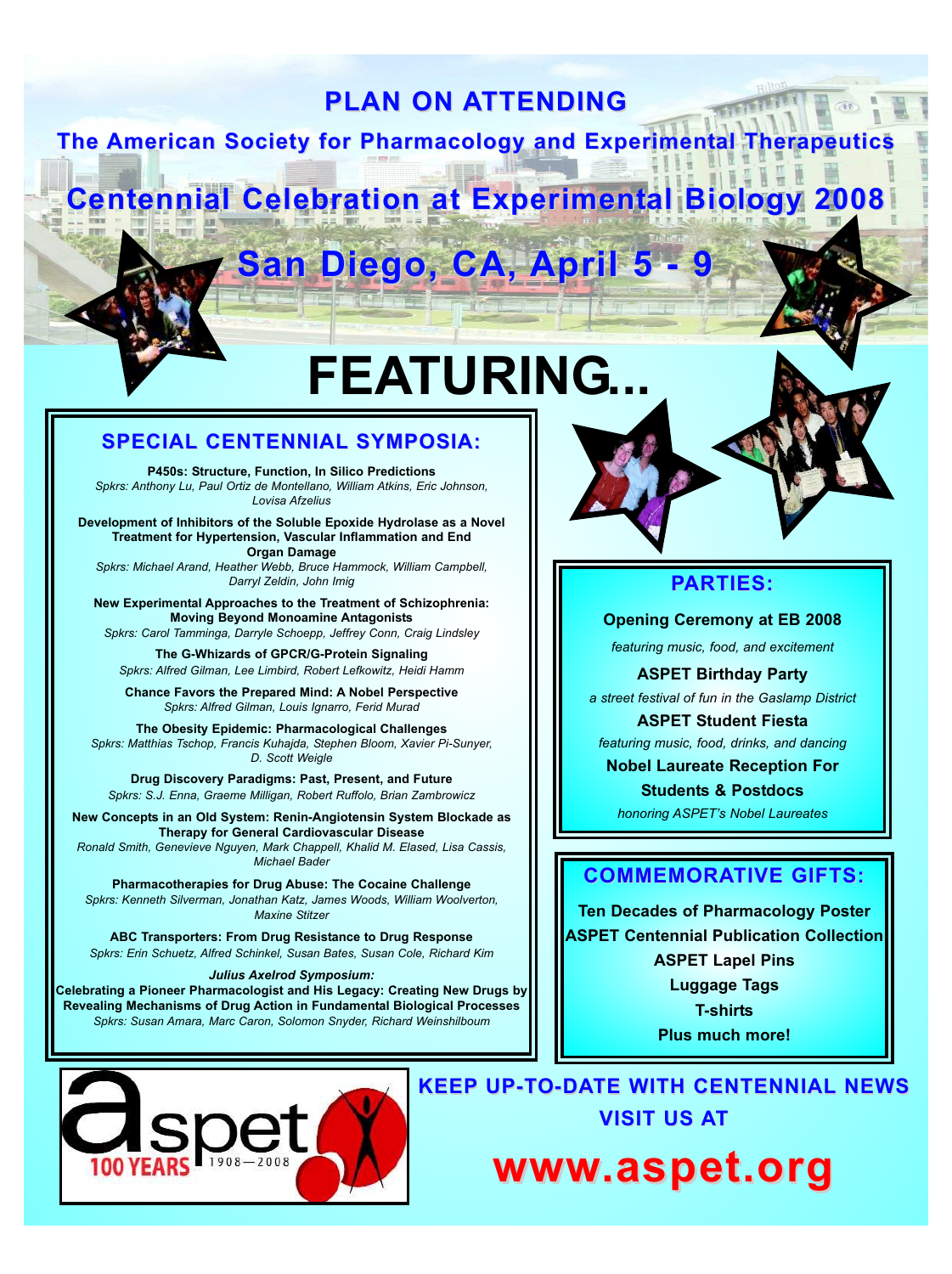## **PLAN ON ATTENDING**

**The American Society for Pharmacology and Experimental Therapeutics** 

# **Centennial Celebration at Experimental Biology 2008**

# **San Diego, CA, April 5 - 9**

# **FEATURING...**

#### **SPECIAL SPECIAL CENTENNIAL CENTENNIALSYMPOSIA: SYMPOSIA:**

**P450s: Structure, Function, In Silico Predictions** *Spkrs: Anthony Lu, Paul Ortiz de Montellano, William Atkins, Eric Johnson, Lovisa Afzelius*

**Development of Inhibitors of the Soluble Epoxide Hydrolase as a Novel Treatment for Hypertension, Vascular Inflammation and End Organ Damage**

*Spkrs: Michael Arand, Heather Webb, Bruce Hammock, William Campbell, Darryl Zeldin, John Imig*

**New Experimental Approaches to the Treatment of Schizophrenia: Moving Beyond Monoamine Antagonists** *Spkrs: Carol Tamminga, Darryle Schoepp, Jeffrey Conn, Craig Lindsley*

**The G-Whizards of GPCR/G-Protein Signaling** *Spkrs: Alfred Gilman, Lee Limbird, Robert Lefkowitz, Heidi Hamm*

**Chance Favors the Prepared Mind: A Nobel Perspective** *Spkrs: Alfred Gilman, Louis Ignarro, Ferid Murad*

**The Obesity Epidemic: Pharmacological Challenges** *Spkrs: Matthias Tschop, Francis Kuhajda, Stephen Bloom, Xavier Pi-Sunyer, D. Scott Weigle*

**Drug Discovery Paradigms: Past, Present, and Future** *Spkrs: S.J. Enna, Graeme Milligan, Robert Ruffolo, Brian Zambrowicz*

**New Concepts in an Old System: Renin-Angiotensin System Blockade as Therapy for General Cardiovascular Disease** *Ronald Smith, Genevieve Nguyen, Mark Chappell, Khalid M. Elased, Lisa Cassis, Michael Bader*

**Pharmacotherapies for Drug Abuse: The Cocaine Challenge** *Spkrs: Kenneth Silverman, Jonathan Katz, James Woods, William Woolverton, Maxine Stitzer*

**ABC Transporters: From Drug Resistance to Drug Response** *Spkrs: Erin Schuetz, Alfred Schinkel, Susan Bates, Susan Cole, Richard Kim*

*Julius Axelrod Symposium:*

**Celebrating a Pioneer Pharmacologist and His Legacy: Creating New Drugs by Revealing Mechanisms of Drug Action in Fundamental Biological Processes** *Spkrs: Susan Amara, Marc Caron, Solomon Snyder, Richard Weinshilboum*



### **PARTIES: ARTIES:**

**Opening Ceremony at EB 2008**

*featuring music, food, and excitement*

**ASPET Birthday Party**

*a street festival of fun in the Gaslamp District*

**ASPET Student Fiesta** *featuring music, food, drinks, and dancing*

**Nobel Laureate Reception For**

**Students & Postdocs** *honoring ASPET's Nobel Laureates*

### **COMMEMORATIVE GIFTS:**

**Ten Decades of Pharmacology Poster ASPET Centennial Publication Collection ASPET Lapel Pins Luggage Tags T-shirts**

**Plus much more!**

**KEEP UP-TO-DATE WITH CENTENNIAL NEWS VISIT US AT** 

**www.aspet.org .aspet.org**